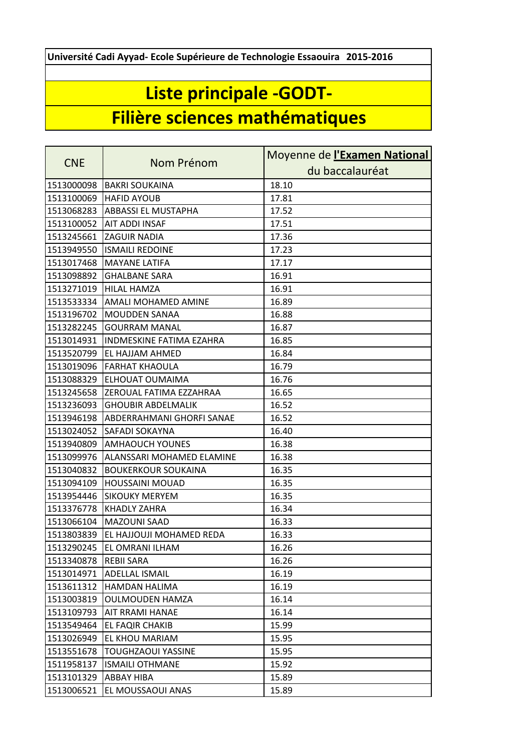**Université Cadi Ayyad- Ecole Supérieure de Technologie Essaouira 2015-2016**

## **Liste principale -GODT-**

## **Filière sciences mathématiques**

| <b>CNE</b> | Nom Prénom                 | Moyenne de l'Examen National |
|------------|----------------------------|------------------------------|
|            |                            | du baccalauréat              |
| 1513000098 | <b>BAKRI SOUKAINA</b>      | 18.10                        |
| 1513100069 | <b>HAFID AYOUB</b>         | 17.81                        |
| 1513068283 | <b>ABBASSI EL MUSTAPHA</b> | 17.52                        |
| 1513100052 | AIT ADDI INSAF             | 17.51                        |
| 1513245661 | <b>ZAGUIR NADIA</b>        | 17.36                        |
| 1513949550 | <b>ISMAILI REDOINE</b>     | 17.23                        |
| 1513017468 | <b>MAYANE LATIFA</b>       | 17.17                        |
| 1513098892 | <b>GHALBANE SARA</b>       | 16.91                        |
| 1513271019 | <b>HILAL HAMZA</b>         | 16.91                        |
| 1513533334 | AMALI MOHAMED AMINE        | 16.89                        |
| 1513196702 | <b>MOUDDEN SANAA</b>       | 16.88                        |
| 1513282245 | <b>GOURRAM MANAL</b>       | 16.87                        |
| 1513014931 | INDMESKINE FATIMA EZAHRA   | 16.85                        |
| 1513520799 | EL HAJJAM AHMED            | 16.84                        |
| 1513019096 | <b>FARHAT KHAOULA</b>      | 16.79                        |
| 1513088329 | ELHOUAT OUMAIMA            | 16.76                        |
| 1513245658 | ZEROUAL FATIMA EZZAHRAA    | 16.65                        |
| 1513236093 | <b>GHOUBIR ABDELMALIK</b>  | 16.52                        |
| 1513946198 | ABDERRAHMANI GHORFI SANAE  | 16.52                        |
| 1513024052 | <b>SAFADI SOKAYNA</b>      | 16.40                        |
| 1513940809 | <b>AMHAOUCH YOUNES</b>     | 16.38                        |
| 1513099976 | ALANSSARI MOHAMED ELAMINE  | 16.38                        |
| 1513040832 | <b>BOUKERKOUR SOUKAINA</b> | 16.35                        |
| 1513094109 | <b>HOUSSAINI MOUAD</b>     | 16.35                        |
| 1513954446 | <b>SIKOUKY MERYEM</b>      | 16.35                        |
| 1513376778 | <b>KHADLY ZAHRA</b>        | 16.34                        |
| 1513066104 | <b>MAZOUNI SAAD</b>        | 16.33                        |
| 1513803839 | EL HAJJOUJI MOHAMED REDA   | 16.33                        |
| 1513290245 | <b>EL OMRANI ILHAM</b>     | 16.26                        |
| 1513340878 | <b>REBII SARA</b>          | 16.26                        |
| 1513014971 | ADELLAL ISMAIL             | 16.19                        |
| 1513611312 | HAMDAN HALIMA              | 16.19                        |
| 1513003819 | <b>OULMOUDEN HAMZA</b>     | 16.14                        |
| 1513109793 | <b>AIT RRAMI HANAE</b>     | 16.14                        |
| 1513549464 | EL FAQIR CHAKIB            | 15.99                        |
| 1513026949 | EL KHOU MARIAM             | 15.95                        |
| 1513551678 | <b>TOUGHZAOUI YASSINE</b>  | 15.95                        |
| 1511958137 | <b>ISMAILI OTHMANE</b>     | 15.92                        |
| 1513101329 | ABBAY HIBA                 | 15.89                        |
| 1513006521 | EL MOUSSAOUI ANAS          | 15.89                        |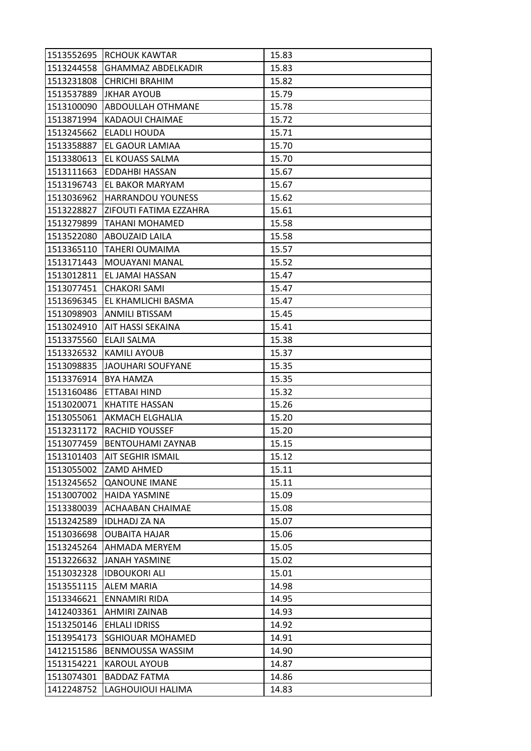| 1513552695 | <b>RCHOUK KAWTAR</b>        | 15.83 |
|------------|-----------------------------|-------|
| 1513244558 | <b>GHAMMAZ ABDELKADIR</b>   | 15.83 |
| 1513231808 | <b>CHRICHI BRAHIM</b>       | 15.82 |
| 1513537889 | <b>JKHAR AYOUB</b>          | 15.79 |
| 1513100090 | ABDOULLAH OTHMANE           | 15.78 |
| 1513871994 | KADAOUI CHAIMAE             | 15.72 |
| 1513245662 | <b>ELADLI HOUDA</b>         | 15.71 |
| 1513358887 | EL GAOUR LAMIAA             | 15.70 |
| 1513380613 | EL KOUASS SALMA             | 15.70 |
| 1513111663 | <b>EDDAHBI HASSAN</b>       | 15.67 |
| 1513196743 | EL BAKOR MARYAM             | 15.67 |
| 1513036962 | <b>HARRANDOU YOUNESS</b>    | 15.62 |
| 1513228827 | ZIFOUTI FATIMA EZZAHRA      | 15.61 |
| 1513279899 | <b>TAHANI MOHAMED</b>       | 15.58 |
| 1513522080 | ABOUZAID LAILA              | 15.58 |
|            | 1513365110   TAHERI OUMAIMA | 15.57 |
| 1513171443 | MOUAYANI MANAL              | 15.52 |
| 1513012811 | EL JAMAI HASSAN             | 15.47 |
| 1513077451 | <b>CHAKORI SAMI</b>         | 15.47 |
| 1513696345 | EL KHAMLICHI BASMA          | 15.47 |
| 1513098903 | <b>ANMILI BTISSAM</b>       | 15.45 |
| 1513024910 | AIT HASSI SEKAINA           | 15.41 |
| 1513375560 | ELAJI SALMA                 | 15.38 |
| 1513326532 | <b>KAMILI AYOUB</b>         | 15.37 |
| 1513098835 | JAOUHARI SOUFYANE           | 15.35 |
| 1513376914 | <b>BYA HAMZA</b>            | 15.35 |
| 1513160486 | ETTABAI HIND                | 15.32 |
| 1513020071 | <b>KHATITE HASSAN</b>       | 15.26 |
| 1513055061 | AKMACH ELGHALIA             | 15.20 |
| 1513231172 | RACHID YOUSSEF              | 15.20 |
| 1513077459 | <b>BENTOUHAMI ZAYNAB</b>    | 15.15 |
| 1513101403 | <b>AIT SEGHIR ISMAIL</b>    | 15.12 |
| 1513055002 | ZAMD AHMED                  | 15.11 |
| 1513245652 | <b>QANOUNE IMANE</b>        | 15.11 |
| 1513007002 | <b>HAIDA YASMINE</b>        | 15.09 |
| 1513380039 | ACHAABAN CHAIMAE            | 15.08 |
| 1513242589 | <b>IDLHADJ ZA NA</b>        | 15.07 |
| 1513036698 | <b>OUBAITA HAJAR</b>        | 15.06 |
| 1513245264 | AHMADA MERYEM               | 15.05 |
| 1513226632 | <b>JANAH YASMINE</b>        | 15.02 |
| 1513032328 | <b>IDBOUKORI ALI</b>        | 15.01 |
| 1513551115 | ALEM MARIA                  | 14.98 |
| 1513346621 | <b>ENNAMIRI RIDA</b>        | 14.95 |
| 1412403361 | AHMIRI ZAINAB               | 14.93 |
| 1513250146 | <b>EHLALI IDRISS</b>        | 14.92 |
| 1513954173 | <b>SGHIOUAR MOHAMED</b>     | 14.91 |
| 1412151586 | BENMOUSSA WASSIM            | 14.90 |
| 1513154221 | <b>KAROUL AYOUB</b>         | 14.87 |
| 1513074301 | <b>BADDAZ FATMA</b>         | 14.86 |
| 1412248752 | LAGHOUIOUI HALIMA           | 14.83 |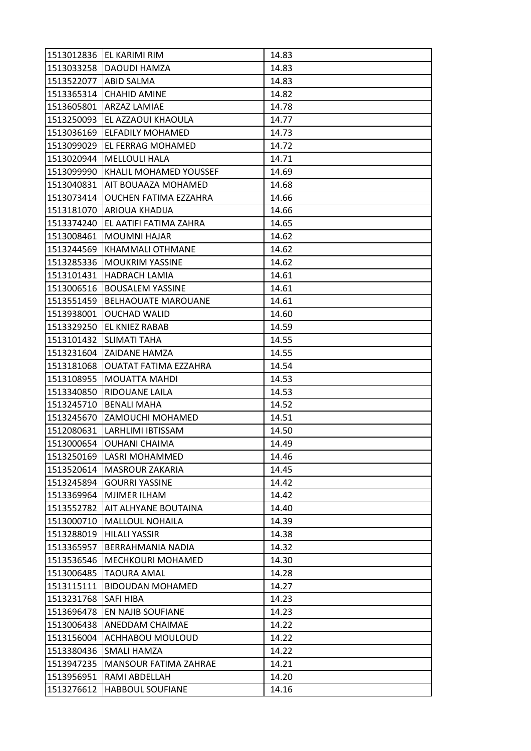| 1513033258<br>DAOUDI HAMZA<br>14.83<br><b>ABID SALMA</b><br>1513522077<br>14.83<br><b>CHAHID AMINE</b><br>14.82<br>ARZAZ LAMIAE<br>14.78<br>EL AZZAOUI KHAOULA<br>14.77<br>14.73<br><b>ELFADILY MOHAMED</b><br>1513099029<br>EL FERRAG MOHAMED<br>14.72<br><b>MELLOULI HALA</b><br>14.71<br>KHALIL MOHAMED YOUSSEF<br>14.69<br>AIT BOUAAZA MOHAMED<br>14.68<br>OUCHEN FATIMA EZZAHRA<br>14.66<br>ARIOUA KHADIJA<br>14.66<br>1513374240<br>EL AATIFI FATIMA ZAHRA<br>14.65<br>1513008461<br><b>MOUMNI HAJAR</b><br>14.62<br>KHAMMALI OTHMANE<br>1513244569<br>14.62<br>1513285336<br><b>MOUKRIM YASSINE</b><br>14.62<br>1513101431<br><b>HADRACH LAMIA</b><br>14.61<br><b>BOUSALEM YASSINE</b><br>1513006516<br>14.61<br>1513551459<br><b>BELHAOUATE MAROUANE</b><br>14.61<br>1513938001<br><b>OUCHAD WALID</b><br>14.60<br>1513329250<br>EL KNIEZ RABAB<br>14.59<br>1513101432<br><b>SLIMATI TAHA</b><br>14.55<br>14.55<br>1513231604<br>ZAIDANE HAMZA<br>1513181068<br><b>OUATAT FATIMA EZZAHRA</b><br>14.54<br>14.53<br>1513108955<br>MOUATTA MAHDI<br>1513340850<br>RIDOUANE LAILA<br>14.53<br><b>BENALI MAHA</b><br>1513245710<br>14.52<br>1513245670<br>ZAMOUCHI MOHAMED<br>14.51<br>LARHLIMI IBTISSAM<br>14.50<br> 1512080631<br>1513000654<br><b>OUHANI CHAIMA</b><br>14.49<br>1513250169<br>LASRI MOHAMMED<br>14.46<br>1513520614<br><b>MASROUR ZAKARIA</b><br>14.45<br>1513245894<br><b>GOURRI YASSINE</b><br>14.42<br>1513369964<br>MJIMER ILHAM<br>14.42<br>1513552782<br>AIT ALHYANE BOUTAINA<br>14.40<br>1513000710<br><b>MALLOUL NOHAILA</b><br>14.39<br>1513288019<br><b>HILALI YASSIR</b><br>14.38<br>1513365957<br>BERRAHMANIA NADIA<br>14.32<br>1513536546<br>MECHKOURI MOHAMED<br>14.30<br>1513006485<br><b>TAOURA AMAL</b><br>14.28<br>1513115111<br><b>BIDOUDAN MOHAMED</b><br>14.27<br>1513231768<br>14.23<br>SAFI HIBA<br>1513696478<br>EN NAJIB SOUFIANE<br>14.23<br>1513006438<br>ANEDDAM CHAIMAE<br>14.22<br>1513156004<br>ACHHABOU MOULOUD<br>14.22<br>1513380436<br>SMALI HAMZA<br>14.22<br>1513947235<br>MANSOUR FATIMA ZAHRAE<br>14.21<br>1513956951<br>RAMI ABDELLAH<br>14.20 | 1513012836 | EL KARIMI RIM           | 14.83 |
|--------------------------------------------------------------------------------------------------------------------------------------------------------------------------------------------------------------------------------------------------------------------------------------------------------------------------------------------------------------------------------------------------------------------------------------------------------------------------------------------------------------------------------------------------------------------------------------------------------------------------------------------------------------------------------------------------------------------------------------------------------------------------------------------------------------------------------------------------------------------------------------------------------------------------------------------------------------------------------------------------------------------------------------------------------------------------------------------------------------------------------------------------------------------------------------------------------------------------------------------------------------------------------------------------------------------------------------------------------------------------------------------------------------------------------------------------------------------------------------------------------------------------------------------------------------------------------------------------------------------------------------------------------------------------------------------------------------------------------------------------------------------------------------------------------------------------------------------------------------------------------------------------------------------------------------------------------------------------------------------------------------------------------------------------------------------------------------------------------------|------------|-------------------------|-------|
|                                                                                                                                                                                                                                                                                                                                                                                                                                                                                                                                                                                                                                                                                                                                                                                                                                                                                                                                                                                                                                                                                                                                                                                                                                                                                                                                                                                                                                                                                                                                                                                                                                                                                                                                                                                                                                                                                                                                                                                                                                                                                                              |            |                         |       |
|                                                                                                                                                                                                                                                                                                                                                                                                                                                                                                                                                                                                                                                                                                                                                                                                                                                                                                                                                                                                                                                                                                                                                                                                                                                                                                                                                                                                                                                                                                                                                                                                                                                                                                                                                                                                                                                                                                                                                                                                                                                                                                              |            |                         |       |
|                                                                                                                                                                                                                                                                                                                                                                                                                                                                                                                                                                                                                                                                                                                                                                                                                                                                                                                                                                                                                                                                                                                                                                                                                                                                                                                                                                                                                                                                                                                                                                                                                                                                                                                                                                                                                                                                                                                                                                                                                                                                                                              | 1513365314 |                         |       |
|                                                                                                                                                                                                                                                                                                                                                                                                                                                                                                                                                                                                                                                                                                                                                                                                                                                                                                                                                                                                                                                                                                                                                                                                                                                                                                                                                                                                                                                                                                                                                                                                                                                                                                                                                                                                                                                                                                                                                                                                                                                                                                              | 1513605801 |                         |       |
|                                                                                                                                                                                                                                                                                                                                                                                                                                                                                                                                                                                                                                                                                                                                                                                                                                                                                                                                                                                                                                                                                                                                                                                                                                                                                                                                                                                                                                                                                                                                                                                                                                                                                                                                                                                                                                                                                                                                                                                                                                                                                                              | 1513250093 |                         |       |
|                                                                                                                                                                                                                                                                                                                                                                                                                                                                                                                                                                                                                                                                                                                                                                                                                                                                                                                                                                                                                                                                                                                                                                                                                                                                                                                                                                                                                                                                                                                                                                                                                                                                                                                                                                                                                                                                                                                                                                                                                                                                                                              | 1513036169 |                         |       |
|                                                                                                                                                                                                                                                                                                                                                                                                                                                                                                                                                                                                                                                                                                                                                                                                                                                                                                                                                                                                                                                                                                                                                                                                                                                                                                                                                                                                                                                                                                                                                                                                                                                                                                                                                                                                                                                                                                                                                                                                                                                                                                              |            |                         |       |
|                                                                                                                                                                                                                                                                                                                                                                                                                                                                                                                                                                                                                                                                                                                                                                                                                                                                                                                                                                                                                                                                                                                                                                                                                                                                                                                                                                                                                                                                                                                                                                                                                                                                                                                                                                                                                                                                                                                                                                                                                                                                                                              | 1513020944 |                         |       |
|                                                                                                                                                                                                                                                                                                                                                                                                                                                                                                                                                                                                                                                                                                                                                                                                                                                                                                                                                                                                                                                                                                                                                                                                                                                                                                                                                                                                                                                                                                                                                                                                                                                                                                                                                                                                                                                                                                                                                                                                                                                                                                              | 1513099990 |                         |       |
|                                                                                                                                                                                                                                                                                                                                                                                                                                                                                                                                                                                                                                                                                                                                                                                                                                                                                                                                                                                                                                                                                                                                                                                                                                                                                                                                                                                                                                                                                                                                                                                                                                                                                                                                                                                                                                                                                                                                                                                                                                                                                                              | 1513040831 |                         |       |
|                                                                                                                                                                                                                                                                                                                                                                                                                                                                                                                                                                                                                                                                                                                                                                                                                                                                                                                                                                                                                                                                                                                                                                                                                                                                                                                                                                                                                                                                                                                                                                                                                                                                                                                                                                                                                                                                                                                                                                                                                                                                                                              | 1513073414 |                         |       |
|                                                                                                                                                                                                                                                                                                                                                                                                                                                                                                                                                                                                                                                                                                                                                                                                                                                                                                                                                                                                                                                                                                                                                                                                                                                                                                                                                                                                                                                                                                                                                                                                                                                                                                                                                                                                                                                                                                                                                                                                                                                                                                              | 1513181070 |                         |       |
|                                                                                                                                                                                                                                                                                                                                                                                                                                                                                                                                                                                                                                                                                                                                                                                                                                                                                                                                                                                                                                                                                                                                                                                                                                                                                                                                                                                                                                                                                                                                                                                                                                                                                                                                                                                                                                                                                                                                                                                                                                                                                                              |            |                         |       |
|                                                                                                                                                                                                                                                                                                                                                                                                                                                                                                                                                                                                                                                                                                                                                                                                                                                                                                                                                                                                                                                                                                                                                                                                                                                                                                                                                                                                                                                                                                                                                                                                                                                                                                                                                                                                                                                                                                                                                                                                                                                                                                              |            |                         |       |
|                                                                                                                                                                                                                                                                                                                                                                                                                                                                                                                                                                                                                                                                                                                                                                                                                                                                                                                                                                                                                                                                                                                                                                                                                                                                                                                                                                                                                                                                                                                                                                                                                                                                                                                                                                                                                                                                                                                                                                                                                                                                                                              |            |                         |       |
|                                                                                                                                                                                                                                                                                                                                                                                                                                                                                                                                                                                                                                                                                                                                                                                                                                                                                                                                                                                                                                                                                                                                                                                                                                                                                                                                                                                                                                                                                                                                                                                                                                                                                                                                                                                                                                                                                                                                                                                                                                                                                                              |            |                         |       |
|                                                                                                                                                                                                                                                                                                                                                                                                                                                                                                                                                                                                                                                                                                                                                                                                                                                                                                                                                                                                                                                                                                                                                                                                                                                                                                                                                                                                                                                                                                                                                                                                                                                                                                                                                                                                                                                                                                                                                                                                                                                                                                              |            |                         |       |
|                                                                                                                                                                                                                                                                                                                                                                                                                                                                                                                                                                                                                                                                                                                                                                                                                                                                                                                                                                                                                                                                                                                                                                                                                                                                                                                                                                                                                                                                                                                                                                                                                                                                                                                                                                                                                                                                                                                                                                                                                                                                                                              |            |                         |       |
|                                                                                                                                                                                                                                                                                                                                                                                                                                                                                                                                                                                                                                                                                                                                                                                                                                                                                                                                                                                                                                                                                                                                                                                                                                                                                                                                                                                                                                                                                                                                                                                                                                                                                                                                                                                                                                                                                                                                                                                                                                                                                                              |            |                         |       |
|                                                                                                                                                                                                                                                                                                                                                                                                                                                                                                                                                                                                                                                                                                                                                                                                                                                                                                                                                                                                                                                                                                                                                                                                                                                                                                                                                                                                                                                                                                                                                                                                                                                                                                                                                                                                                                                                                                                                                                                                                                                                                                              |            |                         |       |
|                                                                                                                                                                                                                                                                                                                                                                                                                                                                                                                                                                                                                                                                                                                                                                                                                                                                                                                                                                                                                                                                                                                                                                                                                                                                                                                                                                                                                                                                                                                                                                                                                                                                                                                                                                                                                                                                                                                                                                                                                                                                                                              |            |                         |       |
|                                                                                                                                                                                                                                                                                                                                                                                                                                                                                                                                                                                                                                                                                                                                                                                                                                                                                                                                                                                                                                                                                                                                                                                                                                                                                                                                                                                                                                                                                                                                                                                                                                                                                                                                                                                                                                                                                                                                                                                                                                                                                                              |            |                         |       |
|                                                                                                                                                                                                                                                                                                                                                                                                                                                                                                                                                                                                                                                                                                                                                                                                                                                                                                                                                                                                                                                                                                                                                                                                                                                                                                                                                                                                                                                                                                                                                                                                                                                                                                                                                                                                                                                                                                                                                                                                                                                                                                              |            |                         |       |
|                                                                                                                                                                                                                                                                                                                                                                                                                                                                                                                                                                                                                                                                                                                                                                                                                                                                                                                                                                                                                                                                                                                                                                                                                                                                                                                                                                                                                                                                                                                                                                                                                                                                                                                                                                                                                                                                                                                                                                                                                                                                                                              |            |                         |       |
|                                                                                                                                                                                                                                                                                                                                                                                                                                                                                                                                                                                                                                                                                                                                                                                                                                                                                                                                                                                                                                                                                                                                                                                                                                                                                                                                                                                                                                                                                                                                                                                                                                                                                                                                                                                                                                                                                                                                                                                                                                                                                                              |            |                         |       |
|                                                                                                                                                                                                                                                                                                                                                                                                                                                                                                                                                                                                                                                                                                                                                                                                                                                                                                                                                                                                                                                                                                                                                                                                                                                                                                                                                                                                                                                                                                                                                                                                                                                                                                                                                                                                                                                                                                                                                                                                                                                                                                              |            |                         |       |
|                                                                                                                                                                                                                                                                                                                                                                                                                                                                                                                                                                                                                                                                                                                                                                                                                                                                                                                                                                                                                                                                                                                                                                                                                                                                                                                                                                                                                                                                                                                                                                                                                                                                                                                                                                                                                                                                                                                                                                                                                                                                                                              |            |                         |       |
|                                                                                                                                                                                                                                                                                                                                                                                                                                                                                                                                                                                                                                                                                                                                                                                                                                                                                                                                                                                                                                                                                                                                                                                                                                                                                                                                                                                                                                                                                                                                                                                                                                                                                                                                                                                                                                                                                                                                                                                                                                                                                                              |            |                         |       |
|                                                                                                                                                                                                                                                                                                                                                                                                                                                                                                                                                                                                                                                                                                                                                                                                                                                                                                                                                                                                                                                                                                                                                                                                                                                                                                                                                                                                                                                                                                                                                                                                                                                                                                                                                                                                                                                                                                                                                                                                                                                                                                              |            |                         |       |
|                                                                                                                                                                                                                                                                                                                                                                                                                                                                                                                                                                                                                                                                                                                                                                                                                                                                                                                                                                                                                                                                                                                                                                                                                                                                                                                                                                                                                                                                                                                                                                                                                                                                                                                                                                                                                                                                                                                                                                                                                                                                                                              |            |                         |       |
|                                                                                                                                                                                                                                                                                                                                                                                                                                                                                                                                                                                                                                                                                                                                                                                                                                                                                                                                                                                                                                                                                                                                                                                                                                                                                                                                                                                                                                                                                                                                                                                                                                                                                                                                                                                                                                                                                                                                                                                                                                                                                                              |            |                         |       |
|                                                                                                                                                                                                                                                                                                                                                                                                                                                                                                                                                                                                                                                                                                                                                                                                                                                                                                                                                                                                                                                                                                                                                                                                                                                                                                                                                                                                                                                                                                                                                                                                                                                                                                                                                                                                                                                                                                                                                                                                                                                                                                              |            |                         |       |
|                                                                                                                                                                                                                                                                                                                                                                                                                                                                                                                                                                                                                                                                                                                                                                                                                                                                                                                                                                                                                                                                                                                                                                                                                                                                                                                                                                                                                                                                                                                                                                                                                                                                                                                                                                                                                                                                                                                                                                                                                                                                                                              |            |                         |       |
|                                                                                                                                                                                                                                                                                                                                                                                                                                                                                                                                                                                                                                                                                                                                                                                                                                                                                                                                                                                                                                                                                                                                                                                                                                                                                                                                                                                                                                                                                                                                                                                                                                                                                                                                                                                                                                                                                                                                                                                                                                                                                                              |            |                         |       |
|                                                                                                                                                                                                                                                                                                                                                                                                                                                                                                                                                                                                                                                                                                                                                                                                                                                                                                                                                                                                                                                                                                                                                                                                                                                                                                                                                                                                                                                                                                                                                                                                                                                                                                                                                                                                                                                                                                                                                                                                                                                                                                              |            |                         |       |
|                                                                                                                                                                                                                                                                                                                                                                                                                                                                                                                                                                                                                                                                                                                                                                                                                                                                                                                                                                                                                                                                                                                                                                                                                                                                                                                                                                                                                                                                                                                                                                                                                                                                                                                                                                                                                                                                                                                                                                                                                                                                                                              |            |                         |       |
|                                                                                                                                                                                                                                                                                                                                                                                                                                                                                                                                                                                                                                                                                                                                                                                                                                                                                                                                                                                                                                                                                                                                                                                                                                                                                                                                                                                                                                                                                                                                                                                                                                                                                                                                                                                                                                                                                                                                                                                                                                                                                                              |            |                         |       |
|                                                                                                                                                                                                                                                                                                                                                                                                                                                                                                                                                                                                                                                                                                                                                                                                                                                                                                                                                                                                                                                                                                                                                                                                                                                                                                                                                                                                                                                                                                                                                                                                                                                                                                                                                                                                                                                                                                                                                                                                                                                                                                              |            |                         |       |
|                                                                                                                                                                                                                                                                                                                                                                                                                                                                                                                                                                                                                                                                                                                                                                                                                                                                                                                                                                                                                                                                                                                                                                                                                                                                                                                                                                                                                                                                                                                                                                                                                                                                                                                                                                                                                                                                                                                                                                                                                                                                                                              |            |                         |       |
|                                                                                                                                                                                                                                                                                                                                                                                                                                                                                                                                                                                                                                                                                                                                                                                                                                                                                                                                                                                                                                                                                                                                                                                                                                                                                                                                                                                                                                                                                                                                                                                                                                                                                                                                                                                                                                                                                                                                                                                                                                                                                                              |            |                         |       |
|                                                                                                                                                                                                                                                                                                                                                                                                                                                                                                                                                                                                                                                                                                                                                                                                                                                                                                                                                                                                                                                                                                                                                                                                                                                                                                                                                                                                                                                                                                                                                                                                                                                                                                                                                                                                                                                                                                                                                                                                                                                                                                              |            |                         |       |
|                                                                                                                                                                                                                                                                                                                                                                                                                                                                                                                                                                                                                                                                                                                                                                                                                                                                                                                                                                                                                                                                                                                                                                                                                                                                                                                                                                                                                                                                                                                                                                                                                                                                                                                                                                                                                                                                                                                                                                                                                                                                                                              |            |                         |       |
|                                                                                                                                                                                                                                                                                                                                                                                                                                                                                                                                                                                                                                                                                                                                                                                                                                                                                                                                                                                                                                                                                                                                                                                                                                                                                                                                                                                                                                                                                                                                                                                                                                                                                                                                                                                                                                                                                                                                                                                                                                                                                                              |            |                         |       |
|                                                                                                                                                                                                                                                                                                                                                                                                                                                                                                                                                                                                                                                                                                                                                                                                                                                                                                                                                                                                                                                                                                                                                                                                                                                                                                                                                                                                                                                                                                                                                                                                                                                                                                                                                                                                                                                                                                                                                                                                                                                                                                              |            |                         |       |
|                                                                                                                                                                                                                                                                                                                                                                                                                                                                                                                                                                                                                                                                                                                                                                                                                                                                                                                                                                                                                                                                                                                                                                                                                                                                                                                                                                                                                                                                                                                                                                                                                                                                                                                                                                                                                                                                                                                                                                                                                                                                                                              |            |                         |       |
|                                                                                                                                                                                                                                                                                                                                                                                                                                                                                                                                                                                                                                                                                                                                                                                                                                                                                                                                                                                                                                                                                                                                                                                                                                                                                                                                                                                                                                                                                                                                                                                                                                                                                                                                                                                                                                                                                                                                                                                                                                                                                                              |            |                         |       |
|                                                                                                                                                                                                                                                                                                                                                                                                                                                                                                                                                                                                                                                                                                                                                                                                                                                                                                                                                                                                                                                                                                                                                                                                                                                                                                                                                                                                                                                                                                                                                                                                                                                                                                                                                                                                                                                                                                                                                                                                                                                                                                              |            |                         |       |
|                                                                                                                                                                                                                                                                                                                                                                                                                                                                                                                                                                                                                                                                                                                                                                                                                                                                                                                                                                                                                                                                                                                                                                                                                                                                                                                                                                                                                                                                                                                                                                                                                                                                                                                                                                                                                                                                                                                                                                                                                                                                                                              |            |                         |       |
|                                                                                                                                                                                                                                                                                                                                                                                                                                                                                                                                                                                                                                                                                                                                                                                                                                                                                                                                                                                                                                                                                                                                                                                                                                                                                                                                                                                                                                                                                                                                                                                                                                                                                                                                                                                                                                                                                                                                                                                                                                                                                                              | 1513276612 | <b>HABBOUL SOUFIANE</b> | 14.16 |